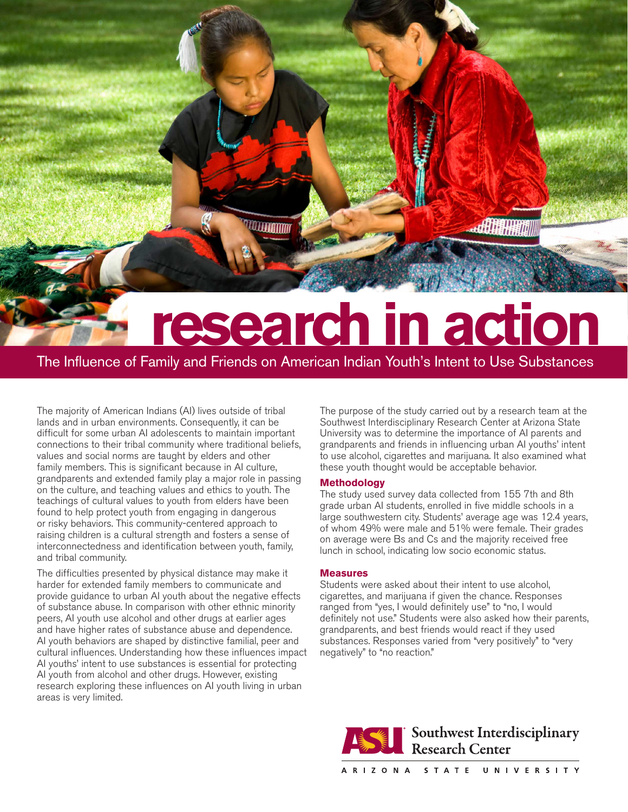# **research in action**

The Influence of Family and Friends on American Indian Youth's Intent to Use Substances

*TELLEENING* 

The majority of American Indians (AI) lives outside of tribal lands and in urban environments. Consequently, it can be difficult for some urban AI adolescents to maintain important connections to their tribal community where traditional beliefs, values and social norms are taught by elders and other family members. This is significant because in AI culture, grandparents and extended family play a major role in passing on the culture, and teaching values and ethics to youth. The teachings of cultural values to youth from elders have been found to help protect youth from engaging in dangerous or risky behaviors. This community-centered approach to raising children is a cultural strength and fosters a sense of interconnectedness and identification between youth, family, and tribal community.

The difficulties presented by physical distance may make it harder for extended family members to communicate and provide guidance to urban AI youth about the negative effects of substance abuse. In comparison with other ethnic minority peers, AI youth use alcohol and other drugs at earlier ages and have higher rates of substance abuse and dependence. AI youth behaviors are shaped by distinctive familial, peer and cultural influences. Understanding how these influences impact AI youths' intent to use substances is essential for protecting AI youth from alcohol and other drugs. However, existing research exploring these influences on AI youth living in urban areas is very limited.

The purpose of the study carried out by a research team at the Southwest Interdisciplinary Research Center at Arizona State University was to determine the importance of AI parents and grandparents and friends in influencing urban AI youths' intent to use alcohol, cigarettes and marijuana. It also examined what these youth thought would be acceptable behavior.

出增用物

# **Methodology**

The study used survey data collected from 155 7th and 8th grade urban AI students, enrolled in five middle schools in a large southwestern city. Students' average age was 12.4 years, of whom 49% were male and 51% were female. Their grades on average were Bs and Cs and the majority received free lunch in school, indicating low socio economic status.

# **Measures**

Students were asked about their intent to use alcohol, cigarettes, and marijuana if given the chance. Responses ranged from "yes, I would definitely use" to "no, I would definitely not use." Students were also asked how their parents, grandparents, and best friends would react if they used substances. Responses varied from "very positively" to "very negatively" to "no reaction."